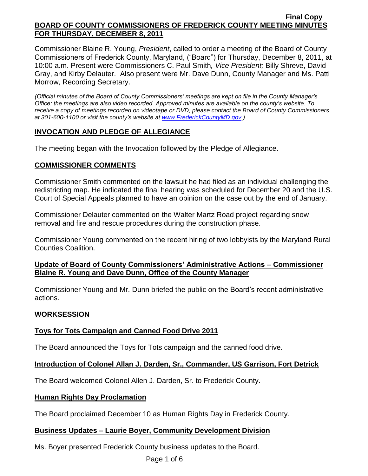Commissioner Blaine R. Young, *President*, called to order a meeting of the Board of County Commissioners of Frederick County, Maryland, ("Board") for Thursday, December 8, 2011, at 10:00 a.m. Present were Commissioners C. Paul Smith*, Vice President;* Billy Shreve, David Gray, and Kirby Delauter. Also present were Mr. Dave Dunn, County Manager and Ms. Patti Morrow, Recording Secretary.

*(Official minutes of the Board of County Commissioners' meetings are kept on file in the County Manager's Office; the meetings are also video recorded. Approved minutes are available on the county's website. To receive a copy of meetings recorded on videotape or DVD, please contact the Board of County Commissioners at 301-600-1100 or visit the county's website at [www.FrederickCountyMD.gov.](http://www.frederickcountymd.gov/))*

# **INVOCATION AND PLEDGE OF ALLEGIANCE**

The meeting began with the Invocation followed by the Pledge of Allegiance.

# **COMMISSIONER COMMENTS**

Commissioner Smith commented on the lawsuit he had filed as an individual challenging the redistricting map. He indicated the final hearing was scheduled for December 20 and the U.S. Court of Special Appeals planned to have an opinion on the case out by the end of January.

Commissioner Delauter commented on the Walter Martz Road project regarding snow removal and fire and rescue procedures during the construction phase.

Commissioner Young commented on the recent hiring of two lobbyists by the Maryland Rural Counties Coalition.

## **Update of Board of County Commissioners' Administrative Actions – Commissioner Blaine R. Young and Dave Dunn, Office of the County Manager**

Commissioner Young and Mr. Dunn briefed the public on the Board's recent administrative actions.

## **WORKSESSION**

## **Toys for Tots Campaign and Canned Food Drive 2011**

The Board announced the Toys for Tots campaign and the canned food drive.

# **Introduction of Colonel Allan J. Darden, Sr., Commander, US Garrison, Fort Detrick**

The Board welcomed Colonel Allen J. Darden, Sr. to Frederick County.

## **Human Rights Day Proclamation**

The Board proclaimed December 10 as Human Rights Day in Frederick County.

## **Business Updates – Laurie Boyer, Community Development Division**

Ms. Boyer presented Frederick County business updates to the Board.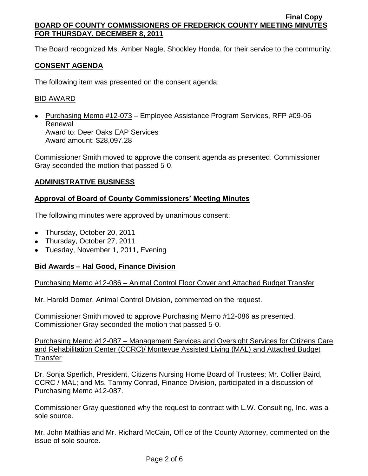The Board recognized Ms. Amber Nagle, Shockley Honda, for their service to the community.

# **CONSENT AGENDA**

The following item was presented on the consent agenda:

### BID AWARD

• Purchasing Memo #12-073 – Employee Assistance Program Services, RFP #09-06 Renewal Award to: Deer Oaks EAP Services Award amount: \$28,097.28

Commissioner Smith moved to approve the consent agenda as presented. Commissioner Gray seconded the motion that passed 5-0.

### **ADMINISTRATIVE BUSINESS**

### **Approval of Board of County Commissioners' Meeting Minutes**

The following minutes were approved by unanimous consent:

- Thursday, October 20, 2011
- Thursday, October 27, 2011
- Tuesday, November 1, 2011, Evening

## **Bid Awards – Hal Good, Finance Division**

Purchasing Memo #12-086 – Animal Control Floor Cover and Attached Budget Transfer

Mr. Harold Domer, Animal Control Division, commented on the request.

Commissioner Smith moved to approve Purchasing Memo #12-086 as presented. Commissioner Gray seconded the motion that passed 5-0.

Purchasing Memo #12-087 – Management Services and Oversight Services for Citizens Care and Rehabilitation Center (CCRC)/ Montevue Assisted Living (MAL) and Attached Budget **Transfer** 

Dr. Sonja Sperlich, President, Citizens Nursing Home Board of Trustees; Mr. Collier Baird, CCRC / MAL; and Ms. Tammy Conrad, Finance Division, participated in a discussion of Purchasing Memo #12-087.

Commissioner Gray questioned why the request to contract with L.W. Consulting, Inc. was a sole source.

Mr. John Mathias and Mr. Richard McCain, Office of the County Attorney, commented on the issue of sole source.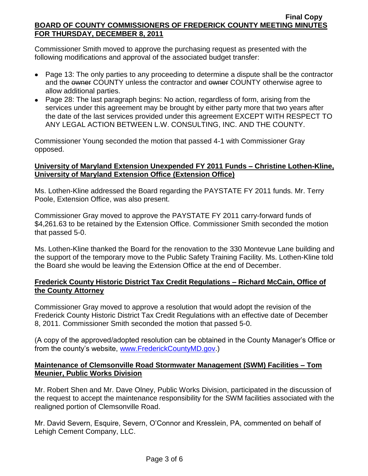Commissioner Smith moved to approve the purchasing request as presented with the following modifications and approval of the associated budget transfer:

- Page 13: The only parties to any proceeding to determine a dispute shall be the contractor and the owner COUNTY unless the contractor and owner COUNTY otherwise agree to allow additional parties.
- Page 28: The last paragraph begins: No action, regardless of form, arising from the services under this agreement may be brought by either party more that two years after the date of the last services provided under this agreement EXCEPT WITH RESPECT TO ANY LEGAL ACTION BETWEEN L.W. CONSULTING, INC. AND THE COUNTY.

Commissioner Young seconded the motion that passed 4-1 with Commissioner Gray opposed.

## **University of Maryland Extension Unexpended FY 2011 Funds – Christine Lothen-Kline, University of Maryland Extension Office (Extension Office)**

Ms. Lothen-Kline addressed the Board regarding the PAYSTATE FY 2011 funds. Mr. Terry Poole, Extension Office, was also present.

Commissioner Gray moved to approve the PAYSTATE FY 2011 carry-forward funds of \$4,261.63 to be retained by the Extension Office. Commissioner Smith seconded the motion that passed 5-0.

Ms. Lothen-Kline thanked the Board for the renovation to the 330 Montevue Lane building and the support of the temporary move to the Public Safety Training Facility. Ms. Lothen-Kline told the Board she would be leaving the Extension Office at the end of December.

# **Frederick County Historic District Tax Credit Regulations – Richard McCain, Office of the County Attorney**

Commissioner Gray moved to approve a resolution that would adopt the revision of the Frederick County Historic District Tax Credit Regulations with an effective date of December 8, 2011. Commissioner Smith seconded the motion that passed 5-0.

(A copy of the approved/adopted resolution can be obtained in the County Manager's Office or from the county's website, [www.FrederickCountyMD.gov.](http://www.frederickcountymd.gov/))

# **Maintenance of Clemsonville Road Stormwater Management (SWM) Facilities – Tom Meunier, Public Works Division**

Mr. Robert Shen and Mr. Dave Olney, Public Works Division, participated in the discussion of the request to accept the maintenance responsibility for the SWM facilities associated with the realigned portion of Clemsonville Road.

Mr. David Severn, Esquire, Severn, O'Connor and Kresslein, PA, commented on behalf of Lehigh Cement Company, LLC.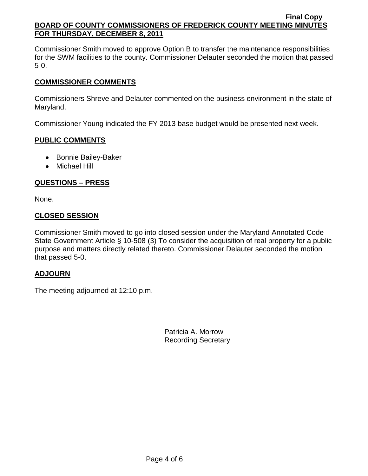Commissioner Smith moved to approve Option B to transfer the maintenance responsibilities for the SWM facilities to the county. Commissioner Delauter seconded the motion that passed 5-0.

# **COMMISSIONER COMMENTS**

Commissioners Shreve and Delauter commented on the business environment in the state of Maryland.

Commissioner Young indicated the FY 2013 base budget would be presented next week.

# **PUBLIC COMMENTS**

- Bonnie Bailey-Baker
- Michael Hill

# **QUESTIONS – PRESS**

None.

# **CLOSED SESSION**

Commissioner Smith moved to go into closed session under the Maryland Annotated Code State Government Article § 10-508 (3) To consider the acquisition of real property for a public purpose and matters directly related thereto. Commissioner Delauter seconded the motion that passed 5-0.

## **ADJOURN**

The meeting adjourned at 12:10 p.m.

Patricia A. Morrow Recording Secretary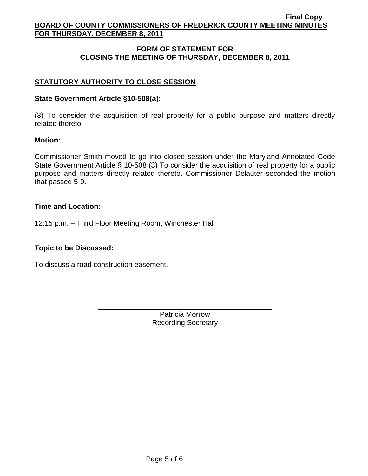# **FORM OF STATEMENT FOR CLOSING THE MEETING OF THURSDAY, DECEMBER 8, 2011**

# **STATUTORY AUTHORITY TO CLOSE SESSION**

### **State Government Article §10-508(a):**

(3) To consider the acquisition of real property for a public purpose and matters directly related thereto.

### **Motion:**

Commissioner Smith moved to go into closed session under the Maryland Annotated Code State Government Article § 10-508 (3) To consider the acquisition of real property for a public purpose and matters directly related thereto. Commissioner Delauter seconded the motion that passed 5-0.

### **Time and Location:**

12:15 p.m. – Third Floor Meeting Room, Winchester Hall

## **Topic to be Discussed:**

To discuss a road construction easement.

Patricia Morrow Recording Secretary